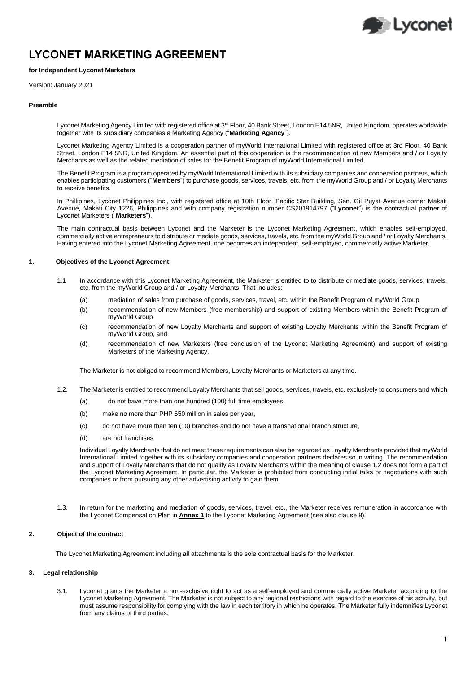# **LYCONET MARKETING AGREEMENT**

# **for Independent Lyconet Marketers**

Version: January 2021

#### **Preamble**

Lyconet Marketing Agency Limited with registered office at 3<sup>rd</sup> Floor, 40 Bank Street, London E14 5NR, United Kingdom, operates worldwide together with its subsidiary companies a Marketing Agency ("**Marketing Agency**").

Lyconet Marketing Agency Limited is a cooperation partner of myWorld International Limited with registered office at 3rd Floor, 40 Bank Street, London E14 5NR, United Kingdom. An essential part of this cooperation is the recommendation of new Members and / or Loyalty Merchants as well as the related mediation of sales for the Benefit Program of myWorld International Limited.

The Benefit Program is a program operated by myWorld International Limited with its subsidiary companies and cooperation partners, which enables participating customers ("**Members**") to purchase goods, services, travels, etc. from the myWorld Group and / or Loyalty Merchants to receive benefits.

In Phillipines, Lyconet Philippines Inc., with registered office at 10th Floor, Pacific Star Building, Sen. Gil Puyat Avenue corner Makati Avenue, Makati City 1226, Philippines and with company registration number CS201914797 ("**Lyconet**") is the contractual partner of Lyconet Marketers ("**Marketers**").

The main contractual basis between Lyconet and the Marketer is the Lyconet Marketing Agreement, which enables self-employed, commercially active entrepreneurs to distribute or mediate goods, services, travels, etc. from the myWorld Group and / or Loyalty Merchants. Having entered into the Lyconet Marketing Agreement, one becomes an independent, self-employed, commercially active Marketer.

# **1. Objectives of the Lyconet Agreement**

- 1.1 In accordance with this Lyconet Marketing Agreement, the Marketer is entitled to to distribute or mediate goods, services, travels, etc. from the myWorld Group and / or Loyalty Merchants. That includes:
	- (a) mediation of sales from purchase of goods, services, travel, etc. within the Benefit Program of myWorld Group
	- (b) recommendation of new Members (free membership) and support of existing Members within the Benefit Program of myWorld Group
	- (c) recommendation of new Loyalty Merchants and support of existing Loyalty Merchants within the Benefit Program of myWorld Group, and
	- (d) recommendation of new Marketers (free conclusion of the Lyconet Marketing Agreement) and support of existing Marketers of the Marketing Agency.

The Marketer is not obliged to recommend Members, Loyalty Merchants or Marketers at any time.

- 1.2. The Marketer is entitled to recommend Loyalty Merchants that sell goods, services, travels, etc. exclusively to consumers and which
	- (a) do not have more than one hundred (100) full time employees,
	- (b) make no more than PHP 650 million in sales per year,
	- (c) do not have more than ten (10) branches and do not have a transnational branch structure,
	- (d) are not franchises

Individual Loyalty Merchants that do not meet these requirements can also be regarded as Loyalty Merchants provided that myWorld International Limited together with its subsidiary companies and cooperation partners declares so in writing. The recommendation and support of Loyalty Merchants that do not qualify as Loyalty Merchants within the meaning of clause 1.2 does not form a part of the Lyconet Marketing Agreement. In particular, the Marketer is prohibited from conducting initial talks or negotiations with such companies or from pursuing any other advertising activity to gain them.

1.3. In return for the marketing and mediation of goods, services, travel, etc., the Marketer receives remuneration in accordance with the Lyconet Compensation Plan in **Annex 1** to the Lyconet Marketing Agreement (see also clause 8).

# **2. Object of the contract**

The Lyconet Marketing Agreement including all attachments is the sole contractual basis for the Marketer.

# **3. Legal relationship**

3.1. Lyconet grants the Marketer a non-exclusive right to act as a self-employed and commercially active Marketer according to the Lyconet Marketing Agreement. The Marketer is not subject to any regional restrictions with regard to the exercise of his activity, but must assume responsibility for complying with the law in each territory in which he operates. The Marketer fully indemnifies Lyconet from any claims of third parties.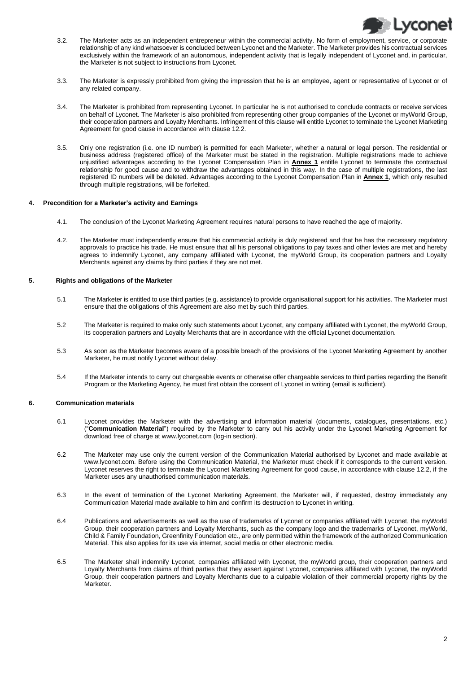

- 3.2. The Marketer acts as an independent entrepreneur within the commercial activity. No form of employment, service, or corporate relationship of any kind whatsoever is concluded between Lyconet and the Marketer. The Marketer provides his contractual services exclusively within the framework of an autonomous, independent activity that is legally independent of Lyconet and, in particular, the Marketer is not subject to instructions from Lyconet.
- 3.3. The Marketer is expressly prohibited from giving the impression that he is an employee, agent or representative of Lyconet or of any related company.
- 3.4. The Marketer is prohibited from representing Lyconet. In particular he is not authorised to conclude contracts or receive services on behalf of Lyconet. The Marketer is also prohibited from representing other group companies of the Lyconet or myWorld Group, their cooperation partners and Loyalty Merchants. Infringement of this clause will entitle Lyconet to terminate the Lyconet Marketing Agreement for good cause in accordance with clause 12.2.
- 3.5. Only one registration (i.e. one ID number) is permitted for each Marketer, whether a natural or legal person. The residential or business address (registered office) of the Marketer must be stated in the registration. Multiple registrations made to achieve unjustified advantages according to the Lyconet Compensation Plan in **Annex 1** entitle Lyconet to terminate the contractual relationship for good cause and to withdraw the advantages obtained in this way. In the case of multiple registrations, the last registered ID numbers will be deleted. Advantages according to the Lyconet Compensation Plan in **Annex 1**, which only resulted through multiple registrations, will be forfeited.

# **4. Precondition for a Marketer's activity and Earnings**

- 4.1. The conclusion of the Lyconet Marketing Agreement requires natural persons to have reached the age of majority.
- 4.2. The Marketer must independently ensure that his commercial activity is duly registered and that he has the necessary regulatory approvals to practice his trade. He must ensure that all his personal obligations to pay taxes and other levies are met and hereby agrees to indemnify Lyconet, any company affiliated with Lyconet, the myWorld Group, its cooperation partners and Loyalty Merchants against any claims by third parties if they are not met.

# **5. Rights and obligations of the Marketer**

- 5.1 The Marketer is entitled to use third parties (e.g. assistance) to provide organisational support for his activities. The Marketer must ensure that the obligations of this Agreement are also met by such third parties.
- 5.2 The Marketer is required to make only such statements about Lyconet, any company affiliated with Lyconet, the myWorld Group, its cooperation partners and Loyalty Merchants that are in accordance with the official Lyconet documentation.
- 5.3 As soon as the Marketer becomes aware of a possible breach of the provisions of the Lyconet Marketing Agreement by another Marketer, he must notify Lyconet without delay.
- 5.4 If the Marketer intends to carry out chargeable events or otherwise offer chargeable services to third parties regarding the Benefit Program or the Marketing Agency, he must first obtain the consent of Lyconet in writing (email is sufficient).

# **6. Communication materials**

- 6.1 Lyconet provides the Marketer with the advertising and information material (documents, catalogues, presentations, etc.) ("**Communication Material**") required by the Marketer to carry out his activity under the Lyconet Marketing Agreement for download free of charge a[t www.lyconet.com](http://www.lyconet.com/) (log-in section).
- 6.2 The Marketer may use only the current version of the Communication Material authorised by Lyconet and made available at www.lyconet.com. Before using the Communication Material, the Marketer must check if it corresponds to the current version. Lyconet reserves the right to terminate the Lyconet Marketing Agreement for good cause, in accordance with clause 12.2, if the Marketer uses any unauthorised communication materials.
- 6.3 In the event of termination of the Lyconet Marketing Agreement, the Marketer will, if requested, destroy immediately any Communication Material made available to him and confirm its destruction to Lyconet in writing.
- 6.4 Publications and advertisements as well as the use of trademarks of Lyconet or companies affiliated with Lyconet, the myWorld Group, their cooperation partners and Loyalty Merchants, such as the company logo and the trademarks of Lyconet, myWorld, Child & Family Foundation, Greenfinity Foundation etc., are only permitted within the framework of the authorized Communication Material. This also applies for its use via internet, social media or other electronic media.
- 6.5 The Marketer shall indemnify Lyconet, companies affiliated with Lyconet, the myWorld group, their cooperation partners and Loyalty Merchants from claims of third parties that they assert against Lyconet, companies affiliated with Lyconet, the myWorld Group, their cooperation partners and Loyalty Merchants due to a culpable violation of their commercial property rights by the Marketer.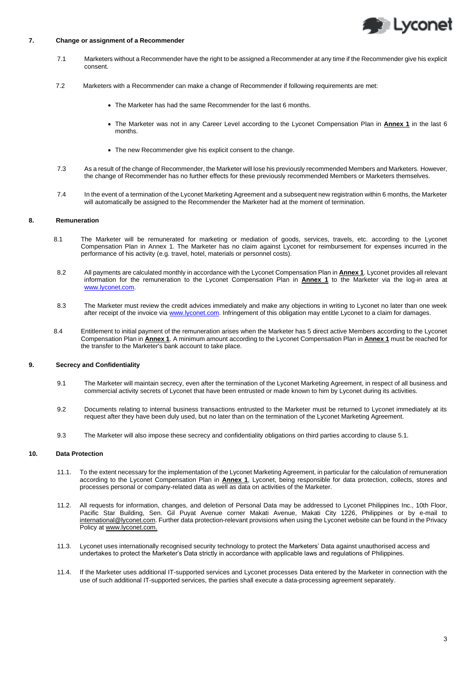

## **7. Change or assignment of a Recommender**

- 7.1 Marketers without a Recommender have the right to be assigned a Recommender at any time if the Recommender give his explicit consent.
- 7.2 Marketers with a Recommender can make a change of Recommender if following requirements are met:
	- The Marketer has had the same Recommender for the last 6 months.
	- The Marketer was not in any Career Level according to the Lyconet Compensation Plan in **Annex 1** in the last 6 months.
	- The new Recommender give his explicit consent to the change.
- 7.3 As a result of the change of Recommender, the Marketer will lose his previously recommended Members and Marketers. However, the change of Recommender has no further effects for these previously recommended Members or Marketers themselves.
- 7.4 In the event of a termination of the Lyconet Marketing Agreement and a subsequent new registration within 6 months, the Marketer will automatically be assigned to the Recommender the Marketer had at the moment of termination.

#### **8. Remuneration**

- 8.1 The Marketer will be remunerated for marketing or mediation of goods, services, travels, etc. according to the Lyconet Compensation Plan in Annex 1. The Marketer has no claim against Lyconet for reimbursement for expenses incurred in the performance of his activity (e.g. travel, hotel, materials or personnel costs).
- 8.2 All payments are calculated monthly in accordance with the Lyconet Compensation Plan in **Annex 1**. Lyconet provides all relevant information for the remuneration to the Lyconet Compensation Plan in **Annex 1** to the Marketer via the log-in area at [www.lyconet.com.](http://www.lyconet.com/)
- 8.3 The Marketer must review the credit advices immediately and make any objections in writing to Lyconet no later than one week after receipt of the invoice vi[a www.lyconet.com.](http://www.lyconet.com/) Infringement of this obligation may entitle Lyconet to a claim for damages.
- 8.4 Entitlement to initial payment of the remuneration arises when the Marketer has 5 direct active Members according to the Lyconet Compensation Plan in **Annex 1**. A minimum amount according to the Lyconet Compensation Plan in **Annex 1** must be reached for the transfer to the Marketer's bank account to take place.

#### **9. Secrecy and Confidentiality**

- 9.1 The Marketer will maintain secrecy, even after the termination of the Lyconet Marketing Agreement, in respect of all business and commercial activity secrets of Lyconet that have been entrusted or made known to him by Lyconet during its activities.
- 9.2 Documents relating to internal business transactions entrusted to the Marketer must be returned to Lyconet immediately at its request after they have been duly used, but no later than on the termination of the Lyconet Marketing Agreement.
- 9.3 The Marketer will also impose these secrecy and confidentiality obligations on third parties according to clause 5.1.

# **10. Data Protection**

- 11.1. To the extent necessary for the implementation of the Lyconet Marketing Agreement, in particular for the calculation of remuneration according to the Lyconet Compensation Plan in **Annex 1**, Lyconet, being responsible for data protection, collects, stores and processes personal or company-related data as well as data on activities of the Marketer.
- 11.2. All requests for information, changes, and deletion of Personal Data may be addressed to Lyconet Philippines Inc., 10th Floor, Pacific Star Building, Sen. Gil Puyat Avenue corner Makati Avenue, Makati City 1226, Philippines or by e-mail to international@lyconet.com. Further data protection-relevant provisions when using the Lyconet website can be found in the Privacy Policy at www.lyconet.com.
- 11.3. Lyconet uses internationally recognised security technology to protect the Marketers' Data against unauthorised access and undertakes to protect the Marketer's Data strictly in accordance with applicable laws and regulations of Philippines.
- 11.4. If the Marketer uses additional IT-supported services and Lyconet processes Data entered by the Marketer in connection with the use of such additional IT-supported services, the parties shall execute a data-processing agreement separately.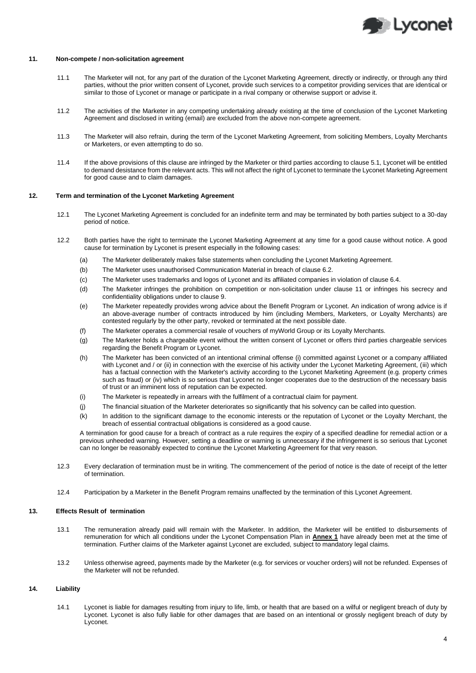

## **11. Non-compete / non-solicitation agreement**

- 11.1 The Marketer will not, for any part of the duration of the Lyconet Marketing Agreement, directly or indirectly, or through any third parties, without the prior written consent of Lyconet, provide such services to a competitor providing services that are identical or similar to those of Lyconet or manage or participate in a rival company or otherwise support or advise it.
- 11.2 The activities of the Marketer in any competing undertaking already existing at the time of conclusion of the Lyconet Marketing Agreement and disclosed in writing (email) are excluded from the above non-compete agreement.
- 11.3 The Marketer will also refrain, during the term of the Lyconet Marketing Agreement, from soliciting Members, Loyalty Merchants or Marketers, or even attempting to do so.
- 11.4 If the above provisions of this clause are infringed by the Marketer or third parties according to clause 5.1, Lyconet will be entitled to demand desistance from the relevant acts. This will not affect the right of Lyconet to terminate the Lyconet Marketing Agreement for good cause and to claim damages.

# **12. Term and termination of the Lyconet Marketing Agreement**

- 12.1 The Lyconet Marketing Agreement is concluded for an indefinite term and may be terminated by both parties subject to a 30-day period of notice.
- 12.2 Both parties have the right to terminate the Lyconet Marketing Agreement at any time for a good cause without notice. A good cause for termination by Lyconet is present especially in the following cases:
	- (a) The Marketer deliberately makes false statements when concluding the Lyconet Marketing Agreement.
	- (b) The Marketer uses unauthorised Communication Material in breach of clause 6.2.
	- (c) The Marketer uses trademarks and logos of Lyconet and its affiliated companies in violation of clause 6.4.
	- (d) The Marketer infringes the prohibition on competition or non-solicitation under clause 11 or infringes his secrecy and confidentiality obligations under to clause 9.
	- (e) The Marketer repeatedly provides wrong advice about the Benefit Program or Lyconet. An indication of wrong advice is if an above-average number of contracts introduced by him (including Members, Marketers, or Loyalty Merchants) are contested regularly by the other party, revoked or terminated at the next possible date.
	- (f) The Marketer operates a commercial resale of vouchers of myWorld Group or its Loyalty Merchants.
	- (g) The Marketer holds a chargeable event without the written consent of Lyconet or offers third parties chargeable services regarding the Benefit Program or Lyconet.
	- (h) The Marketer has been convicted of an intentional criminal offense (i) committed against Lyconet or a company affiliated with Lyconet and / or (ii) in connection with the exercise of his activity under the Lyconet Marketing Agreement, (iii) which has a factual connection with the Marketer's activity according to the Lyconet Marketing Agreement (e.g. property crimes such as fraud) or (iv) which is so serious that Lyconet no longer cooperates due to the destruction of the necessary basis of trust or an imminent loss of reputation can be expected.
	- (i) The Marketer is repeatedly in arrears with the fulfilment of a contractual claim for payment.
	- (j) The financial situation of the Marketer deteriorates so significantly that his solvency can be called into question.
	- (k) In addition to the significant damage to the economic interests or the reputation of Lyconet or the Loyalty Merchant, the breach of essential contractual obligations is considered as a good cause.

A termination for good cause for a breach of contract as a rule requires the expiry of a specified deadline for remedial action or a previous unheeded warning. However, setting a deadline or warning is unnecessary if the infringement is so serious that Lyconet can no longer be reasonably expected to continue the Lyconet Marketing Agreement for that very reason.

- 12.3 Every declaration of termination must be in writing. The commencement of the period of notice is the date of receipt of the letter of termination.
- 12.4 Participation by a Marketer in the Benefit Program remains unaffected by the termination of this Lyconet Agreement.

# **13. Effects Result of termination**

- 13.1 The remuneration already paid will remain with the Marketer. In addition, the Marketer will be entitled to disbursements of remuneration for which all conditions under the Lyconet Compensation Plan in **Annex 1** have already been met at the time of termination. Further claims of the Marketer against Lyconet are excluded, subject to mandatory legal claims.
- 13.2 Unless otherwise agreed, payments made by the Marketer (e.g. for services or voucher orders) will not be refunded. Expenses of the Marketer will not be refunded.

# **14. Liability**

14.1 Lyconet is liable for damages resulting from injury to life, limb, or health that are based on a wilful or negligent breach of duty by Lyconet. Lyconet is also fully liable for other damages that are based on an intentional or grossly negligent breach of duty by Lyconet.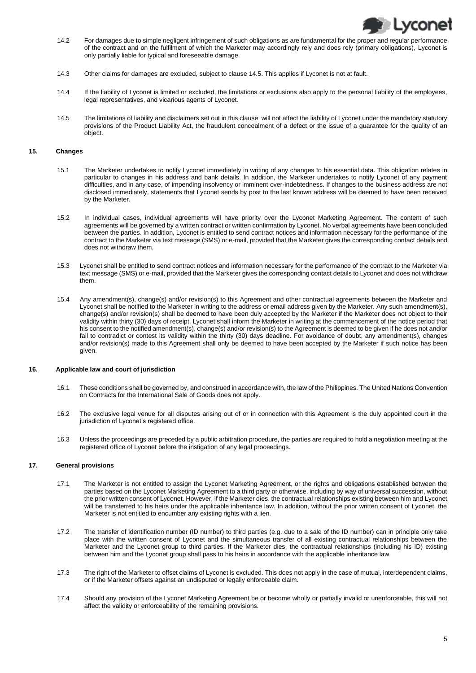

- 14.2 For damages due to simple negligent infringement of such obligations as are fundamental for the proper and regular performance of the contract and on the fulfilment of which the Marketer may accordingly rely and does rely (primary obligations), Lyconet is only partially liable for typical and foreseeable damage.
- 14.3 Other claims for damages are excluded, subject to clause 14.5. This applies if Lyconet is not at fault.
- 14.4 If the liability of Lyconet is limited or excluded, the limitations or exclusions also apply to the personal liability of the employees, legal representatives, and vicarious agents of Lyconet.
- 14.5 The limitations of liability and disclaimers set out in this clause will not affect the liability of Lyconet under the mandatory statutory provisions of the Product Liability Act, the fraudulent concealment of a defect or the issue of a guarantee for the quality of an object.

### **15. Changes**

- 15.1 The Marketer undertakes to notify Lyconet immediately in writing of any changes to his essential data. This obligation relates in particular to changes in his address and bank details. In addition, the Marketer undertakes to notify Lyconet of any payment difficulties, and in any case, of impending insolvency or imminent over-indebtedness. If changes to the business address are not disclosed immediately, statements that Lyconet sends by post to the last known address will be deemed to have been received by the Marketer.
- 15.2 In individual cases, individual agreements will have priority over the Lyconet Marketing Agreement. The content of such agreements will be governed by a written contract or written confirmation by Lyconet. No verbal agreements have been concluded between the parties. In addition, Lyconet is entitled to send contract notices and information necessary for the performance of the contract to the Marketer via text message (SMS) or e-mail, provided that the Marketer gives the corresponding contact details and does not withdraw them.
- 15.3 Lyconet shall be entitled to send contract notices and information necessary for the performance of the contract to the Marketer via text message (SMS) or e-mail, provided that the Marketer gives the corresponding contact details to Lyconet and does not withdraw them.
- 15.4 Any amendment(s), change(s) and/or revision(s) to this Agreement and other contractual agreements between the Marketer and Lyconet shall be notified to the Marketer in writing to the address or email address given by the Marketer. Any such amendment(s), change(s) and/or revision(s) shall be deemed to have been duly accepted by the Marketer if the Marketer does not object to their validity within thirty (30) days of receipt. Lyconet shall inform the Marketer in writing at the commencement of the notice period that his consent to the notified amendment(s), change(s) and/or revision(s) to the Agreement is deemed to be given if he does not and/or fail to contradict or contest its validity within the thirty (30) days deadline. For avoidance of doubt, any amendment(s), changes and/or revision(s) made to this Agreement shall only be deemed to have been accepted by the Marketer if such notice has been given.

# **16. Applicable law and court of jurisdiction**

- 16.1 These conditions shall be governed by, and construed in accordance with, the law of the Philippines. The United Nations Convention on Contracts for the International Sale of Goods does not apply.
- 16.2 The exclusive legal venue for all disputes arising out of or in connection with this Agreement is the duly appointed court in the jurisdiction of Lyconet's registered office.
- 16.3 Unless the proceedings are preceded by a public arbitration procedure, the parties are required to hold a negotiation meeting at the registered office of Lyconet before the instigation of any legal proceedings.

# **17. General provisions**

- 17.1 The Marketer is not entitled to assign the Lyconet Marketing Agreement, or the rights and obligations established between the parties based on the Lyconet Marketing Agreement to a third party or otherwise, including by way of universal succession, without the prior written consent of Lyconet. However, if the Marketer dies, the contractual relationships existing between him and Lyconet will be transferred to his heirs under the applicable inheritance law. In addition, without the prior written consent of Lyconet, the Marketer is not entitled to encumber any existing rights with a lien.
- 17.2 The transfer of identification number (ID number) to third parties (e.g. due to a sale of the ID number) can in principle only take place with the written consent of Lyconet and the simultaneous transfer of all existing contractual relationships between the Marketer and the Lyconet group to third parties. If the Marketer dies, the contractual relationships (including his ID) existing between him and the Lyconet group shall pass to his heirs in accordance with the applicable inheritance law.
- 17.3 The right of the Marketer to offset claims of Lyconet is excluded. This does not apply in the case of mutual, interdependent claims, or if the Marketer offsets against an undisputed or legally enforceable claim.
- 17.4 Should any provision of the Lyconet Marketing Agreement be or become wholly or partially invalid or unenforceable, this will not affect the validity or enforceability of the remaining provisions.